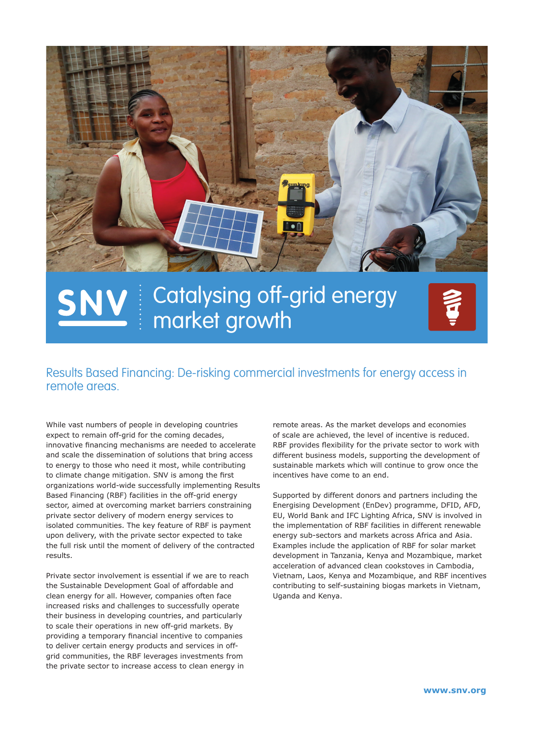

# Catalysing off-grid energy market growth



# Results Based Financing: De-risking commercial investments for energy access in remote areas.

While vast numbers of people in developing countries expect to remain off-grid for the coming decades, innovative financing mechanisms are needed to accelerate and scale the dissemination of solutions that bring access to energy to those who need it most, while contributing to climate change mitigation. SNV is among the first organizations world-wide successfully implementing Results Based Financing (RBF) facilities in the off-grid energy sector, aimed at overcoming market barriers constraining private sector delivery of modern energy services to isolated communities. The key feature of RBF is payment upon delivery, with the private sector expected to take the full risk until the moment of delivery of the contracted results.

Private sector involvement is essential if we are to reach the Sustainable Development Goal of affordable and clean energy for all. However, companies often face increased risks and challenges to successfully operate their business in developing countries, and particularly to scale their operations in new off-grid markets. By providing a temporary financial incentive to companies to deliver certain energy products and services in offgrid communities, the RBF leverages investments from the private sector to increase access to clean energy in

remote areas. As the market develops and economies of scale are achieved, the level of incentive is reduced. RBF provides flexibility for the private sector to work with different business models, supporting the development of sustainable markets which will continue to grow once the incentives have come to an end.

Supported by different donors and partners including the Energising Development (EnDev) programme, DFID, AFD, EU, World Bank and IFC Lighting Africa, SNV is involved in the implementation of RBF facilities in different renewable energy sub-sectors and markets across Africa and Asia. Examples include the application of RBF for solar market development in Tanzania, Kenya and Mozambique, market acceleration of advanced clean cookstoves in Cambodia, Vietnam, Laos, Kenya and Mozambique, and RBF incentives contributing to self-sustaining biogas markets in Vietnam, Uganda and Kenya.